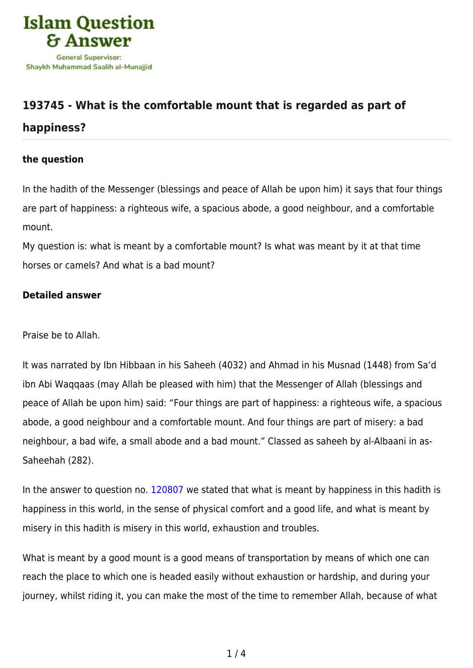

## **[193745 - What is the comfortable mount that is regarded as part of](https://islamqa.com/en/answers/193745/what-is-the-comfortable-mount-that-is-regarded-as-part-of-happiness)**

## **[happiness?](https://islamqa.com/en/answers/193745/what-is-the-comfortable-mount-that-is-regarded-as-part-of-happiness)**

## **the question**

In the hadith of the Messenger (blessings and peace of Allah be upon him) it says that four things are part of happiness: a righteous wife, a spacious abode, a good neighbour, and a comfortable mount.

My question is: what is meant by a comfortable mount? Is what was meant by it at that time horses or camels? And what is a bad mount?

## **Detailed answer**

Praise be to Allah.

It was narrated by Ibn Hibbaan in his Saheeh (4032) and Ahmad in his Musnad (1448) from Sa'd ibn Abi Waqqaas (may Allah be pleased with him) that the Messenger of Allah (blessings and peace of Allah be upon him) said: "Four things are part of happiness: a righteous wife, a spacious abode, a good neighbour and a comfortable mount. And four things are part of misery: a bad neighbour, a bad wife, a small abode and a bad mount." Classed as saheeh by al-Albaani in as-Saheehah (282).

In the answer to question no. [120807](https://islamqa.com/en/answers/120807) we stated that what is meant by happiness in this hadith is happiness in this world, in the sense of physical comfort and a good life, and what is meant by misery in this hadith is misery in this world, exhaustion and troubles.

What is meant by a good mount is a good means of transportation by means of which one can reach the place to which one is headed easily without exhaustion or hardship, and during your journey, whilst riding it, you can make the most of the time to remember Allah, because of what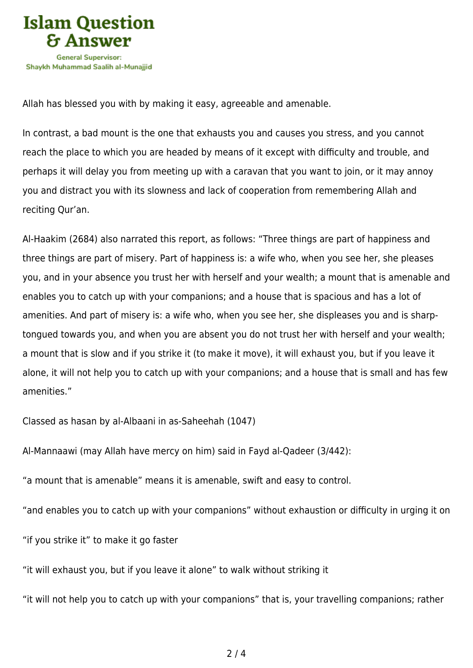

Allah has blessed you with by making it easy, agreeable and amenable.

In contrast, a bad mount is the one that exhausts you and causes you stress, and you cannot reach the place to which you are headed by means of it except with difficulty and trouble, and perhaps it will delay you from meeting up with a caravan that you want to join, or it may annoy you and distract you with its slowness and lack of cooperation from remembering Allah and reciting Qur'an.

Al-Haakim (2684) also narrated this report, as follows: "Three things are part of happiness and three things are part of misery. Part of happiness is: a wife who, when you see her, she pleases you, and in your absence you trust her with herself and your wealth; a mount that is amenable and enables you to catch up with your companions; and a house that is spacious and has a lot of amenities. And part of misery is: a wife who, when you see her, she displeases you and is sharptongued towards you, and when you are absent you do not trust her with herself and your wealth; a mount that is slow and if you strike it (to make it move), it will exhaust you, but if you leave it alone, it will not help you to catch up with your companions; and a house that is small and has few amenities."

Classed as hasan by al-Albaani in as-Saheehah (1047)

Al-Mannaawi (may Allah have mercy on him) said in Fayd al-Qadeer (3/442):

"a mount that is amenable" means it is amenable, swift and easy to control.

"and enables you to catch up with your companions" without exhaustion or difficulty in urging it on

"if you strike it" to make it go faster

"it will exhaust you, but if you leave it alone" to walk without striking it

"it will not help you to catch up with your companions" that is, your travelling companions; rather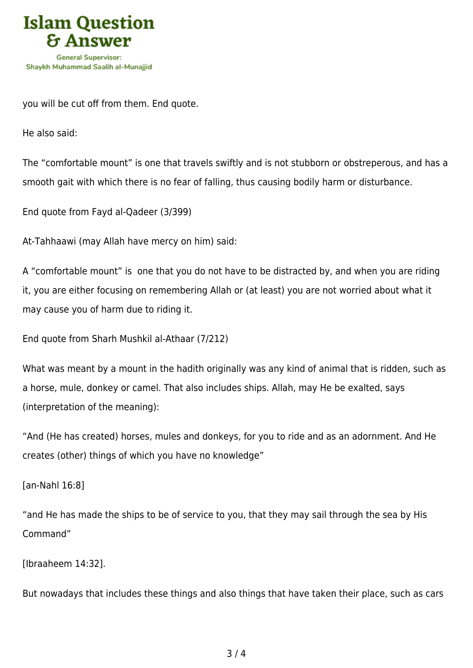

you will be cut off from them. End quote.

He also said:

The "comfortable mount" is one that travels swiftly and is not stubborn or obstreperous, and has a smooth gait with which there is no fear of falling, thus causing bodily harm or disturbance.

End quote from Fayd al-Qadeer (3/399)

At-Tahhaawi (may Allah have mercy on him) said:

A "comfortable mount" is one that you do not have to be distracted by, and when you are riding it, you are either focusing on remembering Allah or (at least) you are not worried about what it may cause you of harm due to riding it.

End quote from Sharh Mushkil al-Athaar (7/212)

What was meant by a mount in the hadith originally was any kind of animal that is ridden, such as a horse, mule, donkey or camel. That also includes ships. Allah, may He be exalted, says (interpretation of the meaning):

"And (He has created) horses, mules and donkeys, for you to ride and as an adornment. And He creates (other) things of which you have no knowledge"

[an-Nahl 16:8]

"and He has made the ships to be of service to you, that they may sail through the sea by His Command"

[Ibraaheem 14:32].

But nowadays that includes these things and also things that have taken their place, such as cars